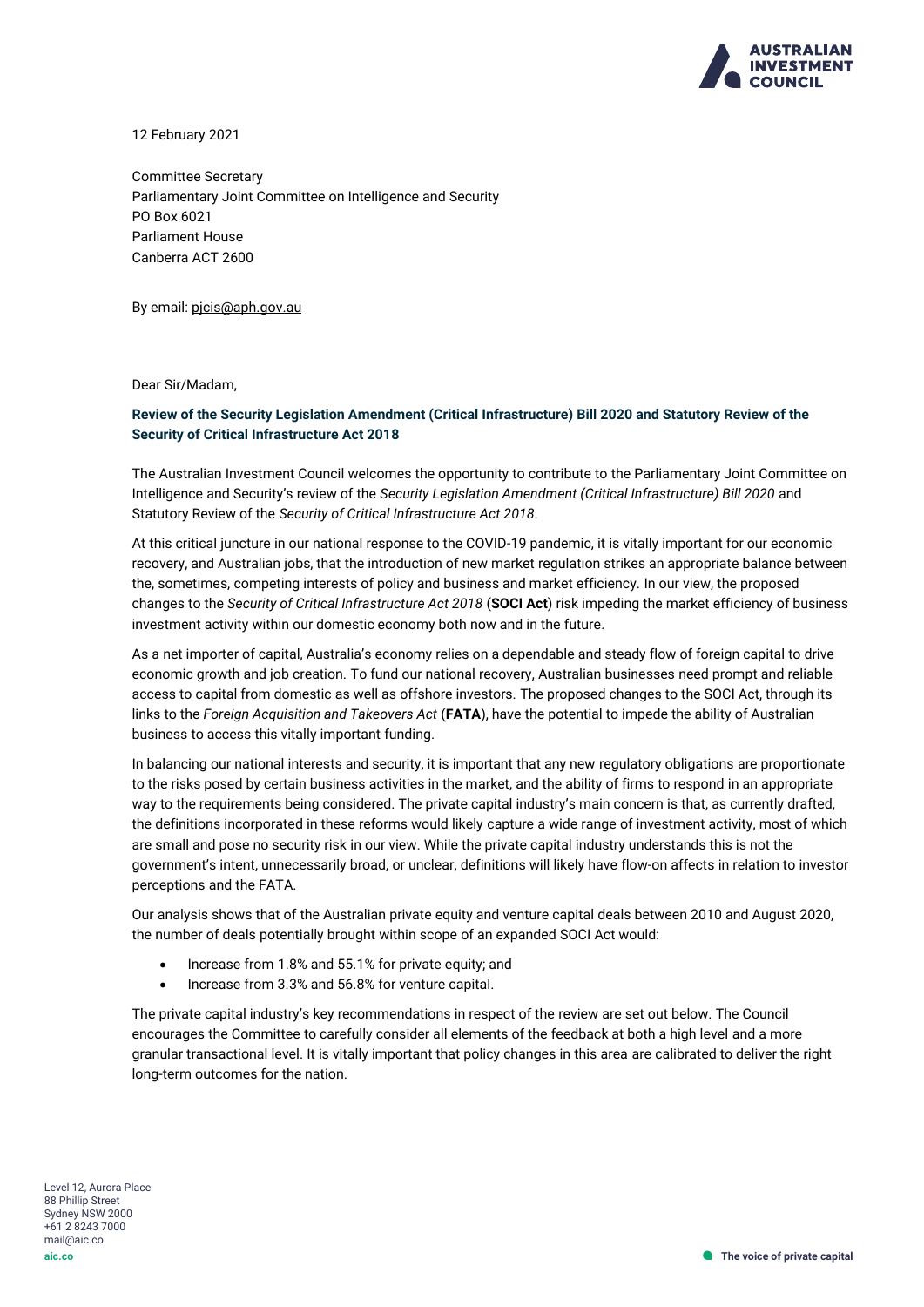

12 February 2021

Committee Secretary Parliamentary Joint Committee on Intelligence and Security PO Box 6021 Parliament House Canberra ACT 2600

By email[: pjcis@aph.gov.au](mailto:pjcis@aph.gov.au)

Dear Sir/Madam,

### **Review of the Security Legislation Amendment (Critical Infrastructure) Bill 2020 and Statutory Review of the Security of Critical Infrastructure Act 2018**

The Australian Investment Council welcomes the opportunity to contribute to the Parliamentary Joint Committee on Intelligence and Security's review of the *Security Legislation Amendment (Critical Infrastructure) Bill 2020* and Statutory Review of the *Security of Critical Infrastructure Act 2018*.

At this critical juncture in our national response to the COVID-19 pandemic, it is vitally important for our economic recovery, and Australian jobs, that the introduction of new market regulation strikes an appropriate balance between the, sometimes, competing interests of policy and business and market efficiency. In our view, the proposed changes to the *Security of Critical Infrastructure Act 2018* (**SOCI Act**) risk impeding the market efficiency of business investment activity within our domestic economy both now and in the future.

As a net importer of capital, Australia's economy relies on a dependable and steady flow of foreign capital to drive economic growth and job creation. To fund our national recovery, Australian businesses need prompt and reliable access to capital from domestic as well as offshore investors. The proposed changes to the SOCI Act, through its links to the *Foreign Acquisition and Takeovers Act* (**FATA**), have the potential to impede the ability of Australian business to access this vitally important funding.

In balancing our national interests and security, it is important that any new regulatory obligations are proportionate to the risks posed by certain business activities in the market, and the ability of firms to respond in an appropriate way to the requirements being considered. The private capital industry's main concern is that, as currently drafted, the definitions incorporated in these reforms would likely capture a wide range of investment activity, most of which are small and pose no security risk in our view. While the private capital industry understands this is not the government's intent, unnecessarily broad, or unclear, definitions will likely have flow-on affects in relation to investor perceptions and the FATA.

Our analysis shows that of the Australian private equity and venture capital deals between 2010 and August 2020, the number of deals potentially brought within scope of an expanded SOCI Act would:

- Increase from 1.8% and 55.1% for private equity; and
- Increase from 3.3% and 56.8% for venture capital.

The private capital industry's key recommendations in respect of the review are set out below. The Council encourages the Committee to carefully consider all elements of the feedback at both a high level and a more granular transactional level. It is vitally important that policy changes in this area are calibrated to deliver the right long-term outcomes for the nation.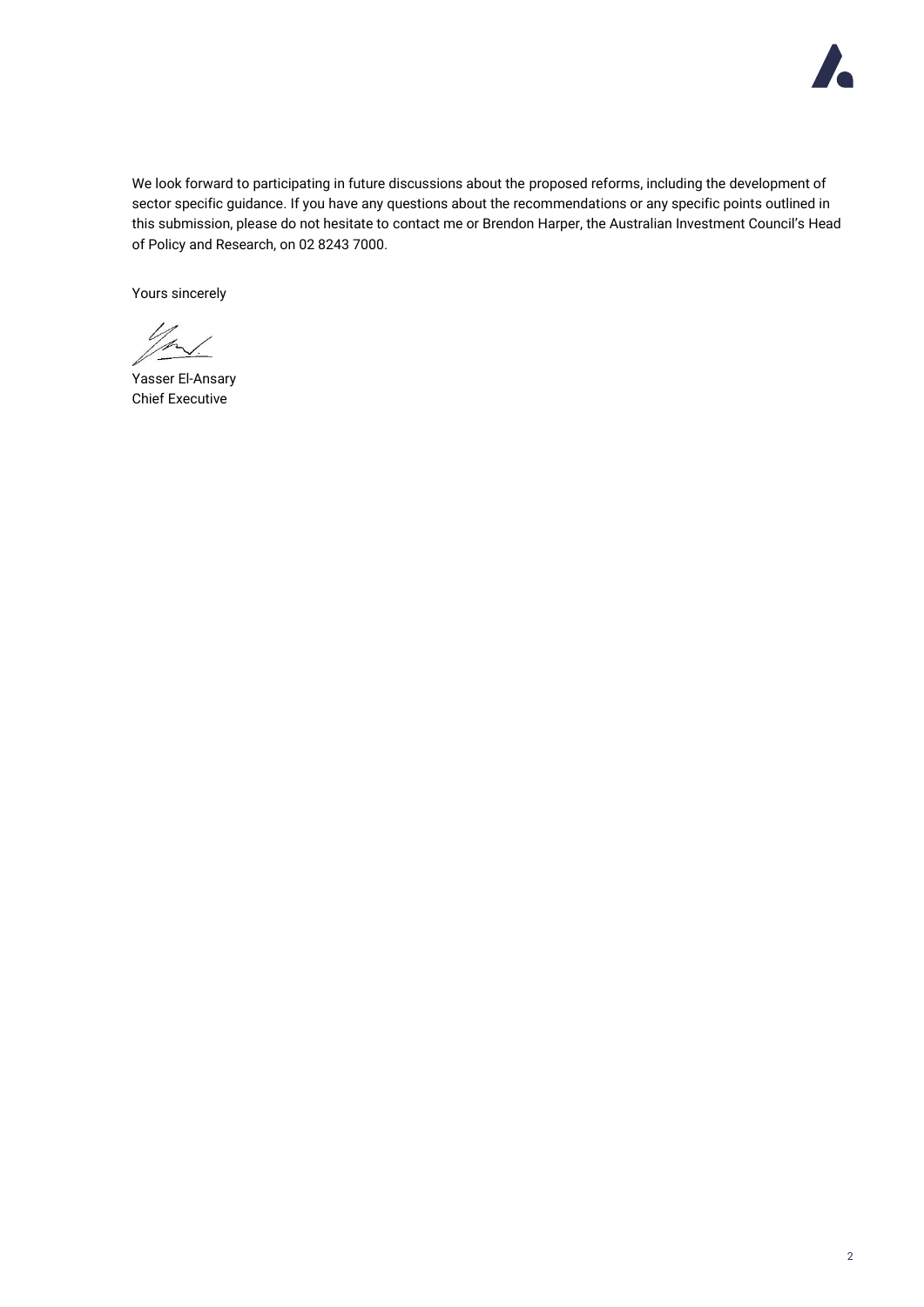

We look forward to participating in future discussions about the proposed reforms, including the development of sector specific guidance. If you have any questions about the recommendations or any specific points outlined in this submission, please do not hesitate to contact me or Brendon Harper, the Australian Investment Council's Head of Policy and Research, on 02 8243 7000.

Yours sincerely

11 /p

Yasser El-Ansary Chief Executive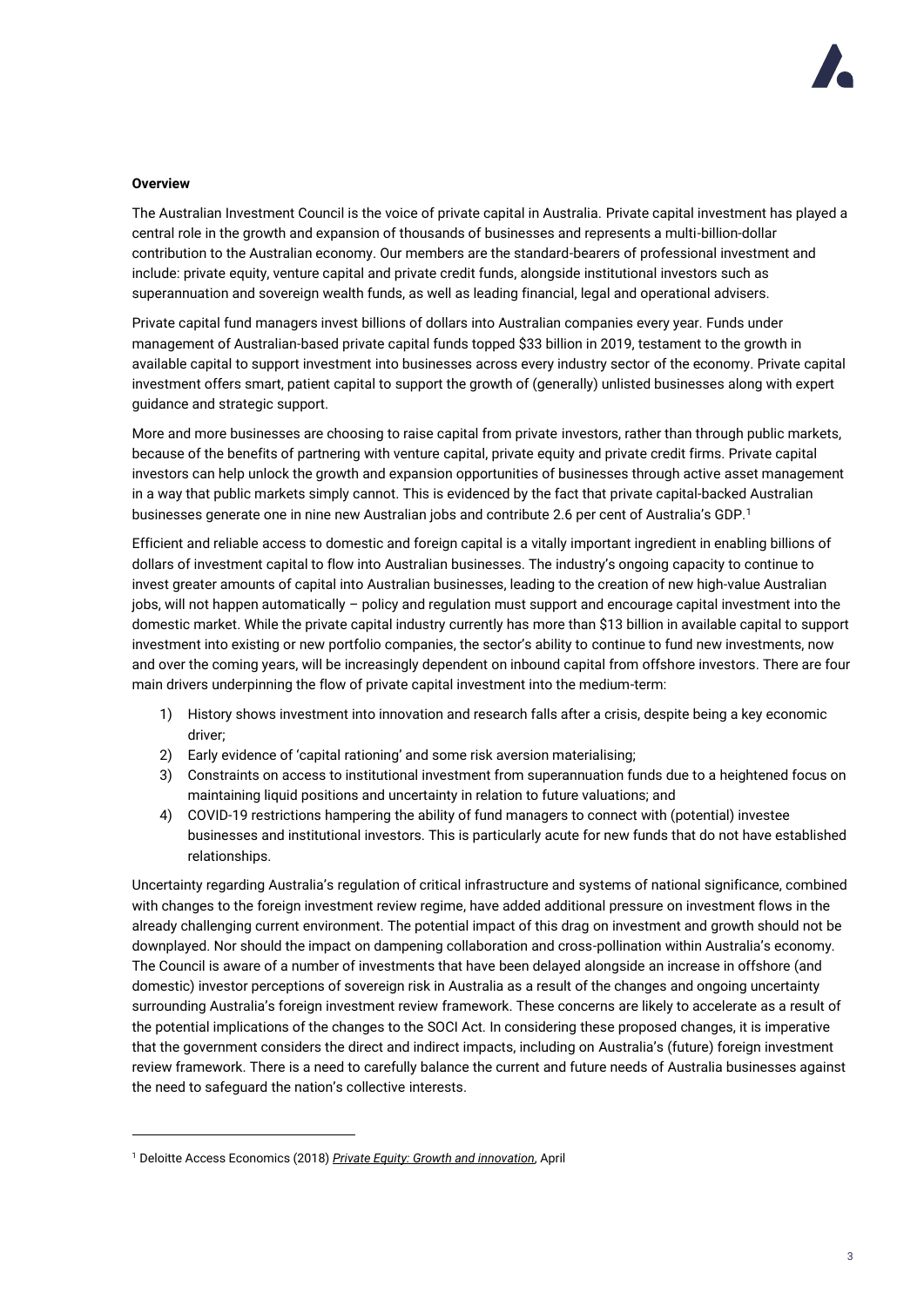#### **Overview**

The Australian Investment Council is the voice of private capital in Australia. Private capital investment has played a central role in the growth and expansion of thousands of businesses and represents a multi-billion-dollar contribution to the Australian economy. Our members are the standard-bearers of professional investment and include: private equity, venture capital and private credit funds, alongside institutional investors such as superannuation and sovereign wealth funds, as well as leading financial, legal and operational advisers.

Private capital fund managers invest billions of dollars into Australian companies every year. Funds under management of Australian-based private capital funds topped \$33 billion in 2019, testament to the growth in available capital to support investment into businesses across every industry sector of the economy. Private capital investment offers smart, patient capital to support the growth of (generally) unlisted businesses along with expert guidance and strategic support.

More and more businesses are choosing to raise capital from private investors, rather than through public markets, because of the benefits of partnering with venture capital, private equity and private credit firms. Private capital investors can help unlock the growth and expansion opportunities of businesses through active asset management in a way that public markets simply cannot. This is evidenced by the fact that private capital-backed Australian businesses generate one in nine new Australian jobs and contribute 2.6 per cent of Australia's GDP.<sup>1</sup>

Efficient and reliable access to domestic and foreign capital is a vitally important ingredient in enabling billions of dollars of investment capital to flow into Australian businesses. The industry's ongoing capacity to continue to invest greater amounts of capital into Australian businesses, leading to the creation of new high-value Australian jobs, will not happen automatically – policy and regulation must support and encourage capital investment into the domestic market. While the private capital industry currently has more than \$13 billion in available capital to support investment into existing or new portfolio companies, the sector's ability to continue to fund new investments, now and over the coming years, will be increasingly dependent on inbound capital from offshore investors. There are four main drivers underpinning the flow of private capital investment into the medium-term:

- 1) History shows investment into innovation and research falls after a crisis, despite being a key economic driver;
- 2) Early evidence of 'capital rationing' and some risk aversion materialising;
- 3) Constraints on access to institutional investment from superannuation funds due to a heightened focus on maintaining liquid positions and uncertainty in relation to future valuations; and
- 4) COVID-19 restrictions hampering the ability of fund managers to connect with (potential) investee businesses and institutional investors. This is particularly acute for new funds that do not have established relationships.

Uncertainty regarding Australia's regulation of critical infrastructure and systems of national significance, combined with changes to the foreign investment review regime, have added additional pressure on investment flows in the already challenging current environment. The potential impact of this drag on investment and growth should not be downplayed. Nor should the impact on dampening collaboration and cross-pollination within Australia's economy. The Council is aware of a number of investments that have been delayed alongside an increase in offshore (and domestic) investor perceptions of sovereign risk in Australia as a result of the changes and ongoing uncertainty surrounding Australia's foreign investment review framework. These concerns are likely to accelerate as a result of the potential implications of the changes to the SOCI Act. In considering these proposed changes, it is imperative that the government considers the direct and indirect impacts, including on Australia's (future) foreign investment review framework. There is a need to carefully balance the current and future needs of Australia businesses against the need to safeguard the nation's collective interests.

<sup>1</sup> Deloitte Access Economics (2018) *[Private Equity: Growth and innovation](https://aic.co/common/Uploaded%20files/Special%20Reports/Deloitte%20Access%20Economics%202018%20Private%20Equity%20Growth%20and%20Innovation.pdf)*, April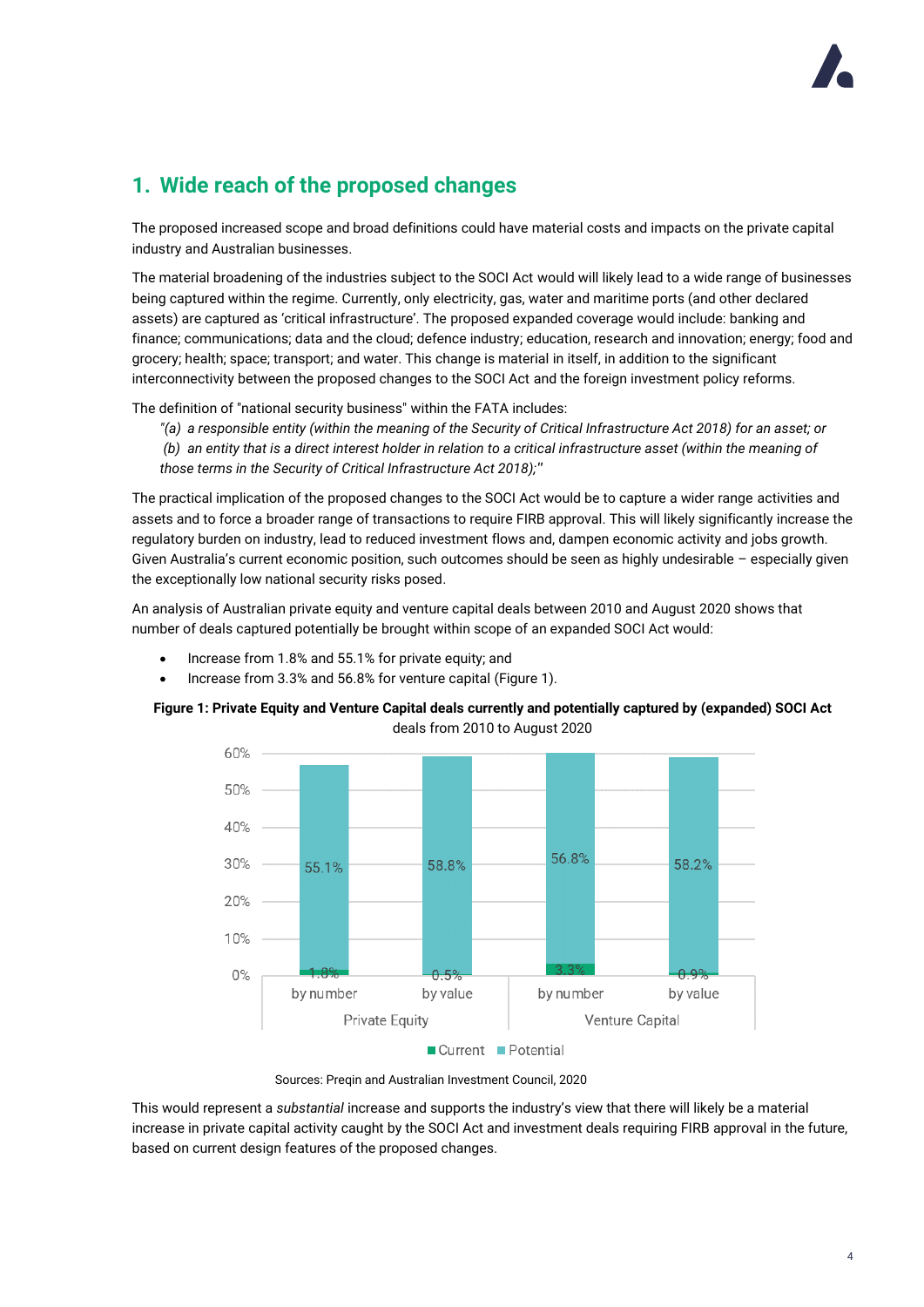# **1. Wide reach of the proposed changes**

The proposed increased scope and broad definitions could have material costs and impacts on the private capital industry and Australian businesses.

The material broadening of the industries subject to the SOCI Act would will likely lead to a wide range of businesses being captured within the regime. Currently, only electricity, gas, water and maritime ports (and other declared assets) are captured as 'critical infrastructure'. The proposed expanded coverage would include: banking and finance; communications; data and the cloud; defence industry; education, research and innovation; energy; food and grocery; health; space; transport; and water. This change is material in itself, in addition to the significant interconnectivity between the proposed changes to the SOCI Act and the foreign investment policy reforms.

The definition of "national security business" within the FATA includes:

*"(a) a responsible entity (within the meaning of the Security of Critical Infrastructure Act 2018) for an asset; or*

*(b) an entity that is a direct interest holder in relation to a critical infrastructure asset (within the meaning of those terms in the Security of Critical Infrastructure Act 2018);"*

The practical implication of the proposed changes to the SOCI Act would be to capture a wider range activities and assets and to force a broader range of transactions to require FIRB approval. This will likely significantly increase the regulatory burden on industry, lead to reduced investment flows and, dampen economic activity and jobs growth. Given Australia's current economic position, such outcomes should be seen as highly undesirable – especially given the exceptionally low national security risks posed.

An analysis of Australian private equity and venture capital deals between 2010 and August 2020 shows that number of deals captured potentially be brought within scope of an expanded SOCI Act would:

- Increase from 1.8% and 55.1% for private equity; and
- Increase from 3.3% and 56.8% for venture capital (Figure 1).

### **Figure 1: Private Equity and Venture Capital deals currently and potentially captured by (expanded) SOCI Act** deals from 2010 to August 2020



Sources: Preqin and Australian Investment Council, 2020

This would represent a *substantial* increase and supports the industry's view that there will likely be a material increase in private capital activity caught by the SOCI Act and investment deals requiring FIRB approval in the future, based on current design features of the proposed changes.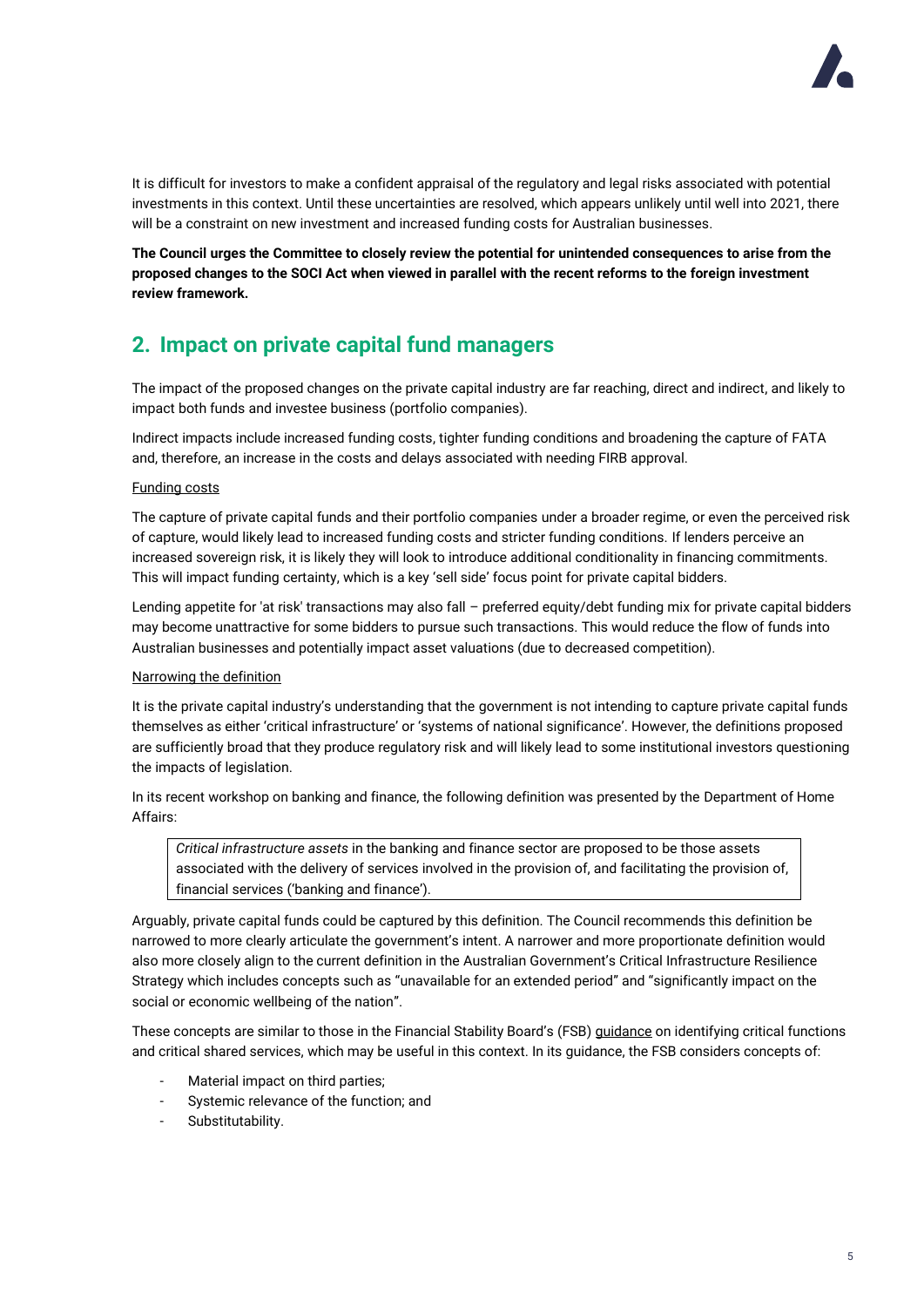

It is difficult for investors to make a confident appraisal of the regulatory and legal risks associated with potential investments in this context. Until these uncertainties are resolved, which appears unlikely until well into 2021, there will be a constraint on new investment and increased funding costs for Australian businesses.

**The Council urges the Committee to closely review the potential for unintended consequences to arise from the proposed changes to the SOCI Act when viewed in parallel with the recent reforms to the foreign investment review framework.** 

# **2. Impact on private capital fund managers**

The impact of the proposed changes on the private capital industry are far reaching, direct and indirect, and likely to impact both funds and investee business (portfolio companies).

Indirect impacts include increased funding costs, tighter funding conditions and broadening the capture of FATA and, therefore, an increase in the costs and delays associated with needing FIRB approval.

### Funding costs

The capture of private capital funds and their portfolio companies under a broader regime, or even the perceived risk of capture, would likely lead to increased funding costs and stricter funding conditions. If lenders perceive an increased sovereign risk, it is likely they will look to introduce additional conditionality in financing commitments. This will impact funding certainty, which is a key 'sell side' focus point for private capital bidders.

Lending appetite for 'at risk' transactions may also fall – preferred equity/debt funding mix for private capital bidders may become unattractive for some bidders to pursue such transactions. This would reduce the flow of funds into Australian businesses and potentially impact asset valuations (due to decreased competition).

### Narrowing the definition

It is the private capital industry's understanding that the government is not intending to capture private capital funds themselves as either 'critical infrastructure' or 'systems of national significance'. However, the definitions proposed are sufficiently broad that they produce regulatory risk and will likely lead to some institutional investors questioning the impacts of legislation.

In its recent workshop on banking and finance, the following definition was presented by the Department of Home Affairs:

*Critical infrastructure assets* in the banking and finance sector are proposed to be those assets associated with the delivery of services involved in the provision of, and facilitating the provision of, financial services ('banking and finance').

Arguably, private capital funds could be captured by this definition. The Council recommends this definition be narrowed to more clearly articulate the government's intent. A narrower and more proportionate definition would also more closely align to the current definition in the Australian Government's Critical Infrastructure Resilience Strategy which includes concepts such as "unavailable for an extended period" and "significantly impact on the social or economic wellbeing of the nation".

These concepts are similar to those in the Financial Stability Board's (FSB) [guidance](https://www.fsb.org/2013/07/r_130716a/) on identifying critical functions and critical shared services, which may be useful in this context. In its guidance, the FSB considers concepts of:

- Material impact on third parties;
- Systemic relevance of the function; and
- Substitutability.